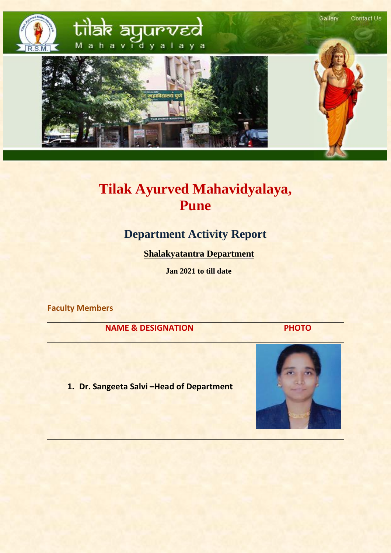

# **Tilak Ayurved Mahavidyalaya, Pune**

## **Department Activity Report**

 **Shalakyatantra Department**

 **Jan 2021 to till date**

**Faculty Members**

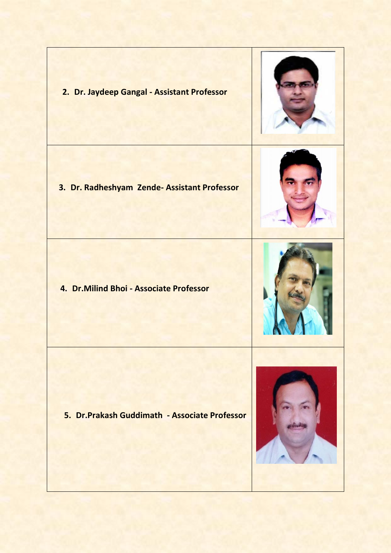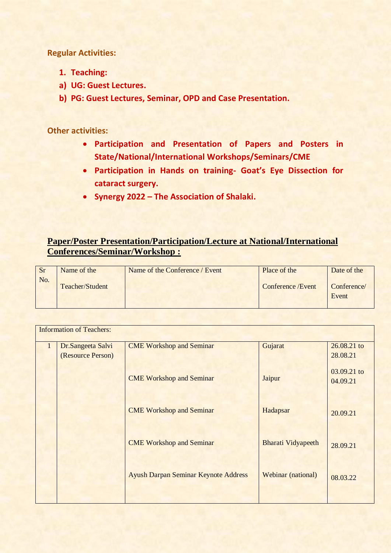**Regular Activities:**

- **1. Teaching:**
- **a) UG: Guest Lectures.**
- **b) PG: Guest Lectures, Seminar, OPD and Case Presentation.**

**Other activities:**

- **Participation and Presentation of Papers and Posters in State/National/International Workshops/Seminars/CME**
- **Participation in Hands on training- Goat's Eye Dissection for cataract surgery.**
- **Synergy 2022 – The Association of Shalaki.**

#### **Paper/Poster Presentation/Participation/Lecture at National/International Conferences/Seminar/Workshop :**

| <b>Sr</b> | Name of the     | Name of the Conference / Event | Place of the       | Date of the |
|-----------|-----------------|--------------------------------|--------------------|-------------|
| No.       | Teacher/Student |                                | Conference / Event | Conference/ |
|           |                 |                                |                    | Event       |

| <b>Information of Teachers:</b> |                                             |                           |                                     |
|---------------------------------|---------------------------------------------|---------------------------|-------------------------------------|
| Dr.Sangeeta Salvi               | <b>CME Workshop and Seminar</b>             | Gujarat                   | 26.08.21 to                         |
| (Resource Person)               | <b>CME Workshop and Seminar</b>             | Jaipur                    | 28.08.21<br>03.09.21 to<br>04.09.21 |
|                                 | <b>CME Workshop and Seminar</b>             | Hadapsar                  | 20.09.21                            |
|                                 | <b>CME Workshop and Seminar</b>             | <b>Bharati Vidyapeeth</b> | 28.09.21                            |
|                                 | <b>Ayush Darpan Seminar Keynote Address</b> | Webinar (national)        | 08.03.22                            |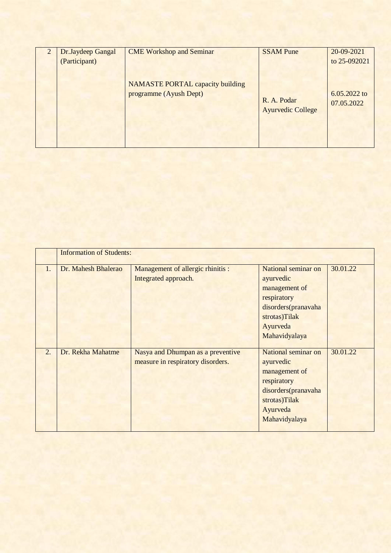| Dr.Jaydeep Gangal<br>(Participant) | <b>CME Workshop and Seminar</b>                                   | <b>SSAM Pune</b>                        | 20-09-2021<br>to 25-092021   |
|------------------------------------|-------------------------------------------------------------------|-----------------------------------------|------------------------------|
|                                    | <b>NAMASTE PORTAL capacity building</b><br>programme (Ayush Dept) | R. A. Podar<br><b>Ayurvedic College</b> | $6.05.2022$ to<br>07.05.2022 |

|                  | <b>Information of Students:</b> |                                                                        |                                                                                                                                       |          |
|------------------|---------------------------------|------------------------------------------------------------------------|---------------------------------------------------------------------------------------------------------------------------------------|----------|
| 1.               | Dr. Mahesh Bhalerao             | Management of allergic rhinitis :<br>Integrated approach.              | National seminar on<br>ayurvedic<br>management of<br>respiratory<br>disorders(pranavaha<br>strotas)Tilak<br>Ayurveda<br>Mahavidyalaya | 30.01.22 |
| $\overline{2}$ . | Dr. Rekha Mahatme               | Nasya and Dhumpan as a preventive<br>measure in respiratory disorders. | National seminar on<br>ayurvedic<br>management of<br>respiratory<br>disorders(pranavaha<br>strotas)Tilak<br>Ayurveda<br>Mahavidyalaya | 30.01.22 |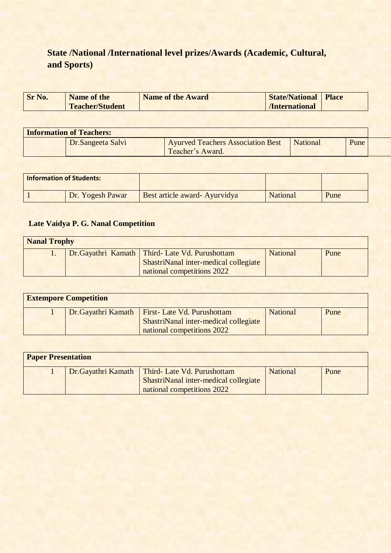### **State /National /International level prizes/Awards (Academic, Cultural, and Sports)**

| <b>Sr No.</b> | <b>Name of the</b>     | <b>Name of the Award</b> | <b>State/National Place</b> |  |
|---------------|------------------------|--------------------------|-----------------------------|--|
|               | <b>Teacher/Student</b> |                          | /International              |  |

| <b>Information of Teachers:</b> |                                                              |                 |      |  |
|---------------------------------|--------------------------------------------------------------|-----------------|------|--|
| Dr.Sangeeta Salvi               | <b>Ayurved Teachers Association Best</b><br>Teacher's Award. | <b>National</b> | Pune |  |

| <b>Information of Students:</b> |                               |                 |      |
|---------------------------------|-------------------------------|-----------------|------|
| Dr. Yogesh Pawar                | Best article award- Ayurvidya | <b>National</b> | Pune |

### **Late Vaidya P. G. Nanal Competition**

| <b>Nanal Trophy</b> |  |                                                                                                                         |                 |      |  |
|---------------------|--|-------------------------------------------------------------------------------------------------------------------------|-----------------|------|--|
|                     |  | Dr.Gayathri Kamath   Third- Late Vd. Purushottam<br>ShastriNanal inter-medical collegiate<br>national competitions 2022 | <b>National</b> | Pune |  |

| <b>Extempore Competition</b> |  |                                                                                                                          |                 |      |  |
|------------------------------|--|--------------------------------------------------------------------------------------------------------------------------|-----------------|------|--|
|                              |  | Dr. Gayathri Kamath   First- Late Vd. Purushottam<br>ShastriNanal inter-medical collegiate<br>national competitions 2022 | <b>National</b> | Pune |  |

| <b>Paper Presentation</b> |  |                                                                                                                          |          |      |  |
|---------------------------|--|--------------------------------------------------------------------------------------------------------------------------|----------|------|--|
|                           |  | Dr. Gayathri Kamath   Third- Late Vd. Purushottam<br>ShastriNanal inter-medical collegiate<br>national competitions 2022 | National | Pune |  |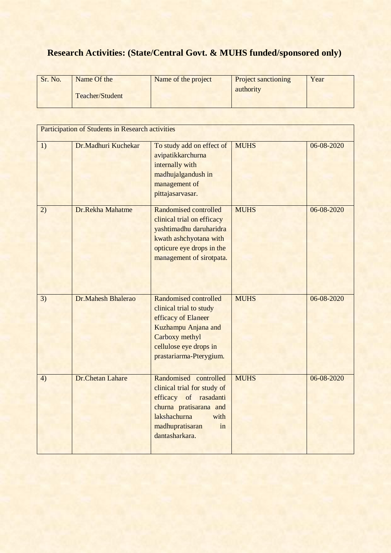## **Research Activities: (State/Central Govt. & MUHS funded/sponsored only)**

| Sr. No. | Name Of the     | Name of the project | <b>Project sanctioning</b> | Year |
|---------|-----------------|---------------------|----------------------------|------|
|         | Teacher/Student |                     | authority                  |      |

|    | <b>Participation of Students in Research activities</b> |                                                                                                                                                                            |             |            |
|----|---------------------------------------------------------|----------------------------------------------------------------------------------------------------------------------------------------------------------------------------|-------------|------------|
| 1) | Dr.Madhuri Kuchekar                                     | To study add on effect of<br>avipatikkarchurna<br>internally with<br>madhujalgandush in<br>management of<br>pittajasarvasar.                                               | <b>MUHS</b> | 06-08-2020 |
| 2) | Dr.Rekha Mahatme                                        | Randomised controlled<br>clinical trial on efficacy<br>yashtimadhu daruharidra<br>kwath ashchyotana with<br>opticure eye drops in the<br>management of sirotpata.          | <b>MUHS</b> | 06-08-2020 |
| 3) | Dr.Mahesh Bhalerao                                      | Randomised controlled<br>clinical trial to study<br>efficacy of Elaneer<br>Kuzhampu Anjana and<br>Carboxy methyl<br>cellulose eye drops in<br>prastariarma-Pterygium.      | <b>MUHS</b> | 06-08-2020 |
| 4) | Dr.Chetan Lahare                                        | Randomised controlled<br>clinical trial for study of<br>efficacy of rasadanti<br>churna pratisarana and<br>lakshachurna<br>with<br>madhupratisaran<br>in<br>dantasharkara. | <b>MUHS</b> | 06-08-2020 |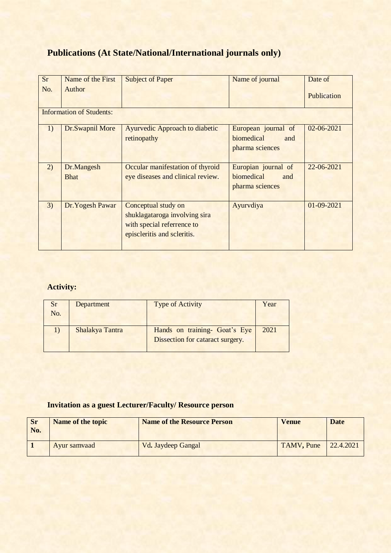### **Publications (At State/National/International journals only)**

| <b>Sr</b>                       | Name of the First         | <b>Subject of Paper</b>                                                                                           | Name of journal                                             | Date of          |  |  |  |  |
|---------------------------------|---------------------------|-------------------------------------------------------------------------------------------------------------------|-------------------------------------------------------------|------------------|--|--|--|--|
| No.                             | Author                    |                                                                                                                   |                                                             | Publication      |  |  |  |  |
| <b>Information of Students:</b> |                           |                                                                                                                   |                                                             |                  |  |  |  |  |
| 1)                              | Dr.Swapnil More           | Ayurvedic Approach to diabetic<br>retinopathy                                                                     | European journal of<br>biomedical<br>and<br>pharma sciences | $02 - 06 - 2021$ |  |  |  |  |
| 2)                              | Dr.Mangesh<br><b>Bhat</b> | Occular manifestation of thyroid<br>eye diseases and clinical review.                                             | Europian journal of<br>biomedical<br>and<br>pharma sciences | 22-06-2021       |  |  |  |  |
| 3)                              | Dr. Yogesh Pawar          | Conceptual study on<br>shuklagataroga involving sira<br>with special referrence to<br>episcleritis and scleritis. | Ayurvdiya                                                   | 01-09-2021       |  |  |  |  |

### **Activity:**

| <b>Sr</b><br>No. | Department      | <b>Type of Activity</b>                                           | Year |
|------------------|-----------------|-------------------------------------------------------------------|------|
|                  | Shalakya Tantra | Hands on training- Goat's Eye<br>Dissection for cataract surgery. | 2021 |

#### **Invitation as a guest Lecturer/Faculty/ Resource person**

| <b>Sr</b><br>No. | <b>Name of the topic</b> | <b>Name of the Resource Person</b> | <b>Venue</b> | <b>Date</b> |
|------------------|--------------------------|------------------------------------|--------------|-------------|
|                  | Ayur samvaad             | Vd. Jaydeep Gangal                 | TAMV, Pune   | 22.4.2021   |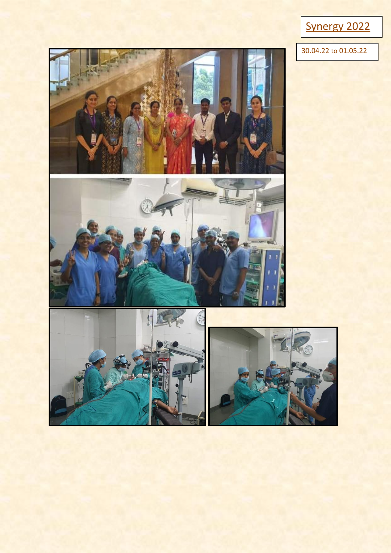

30.04.22 to 01.05.22







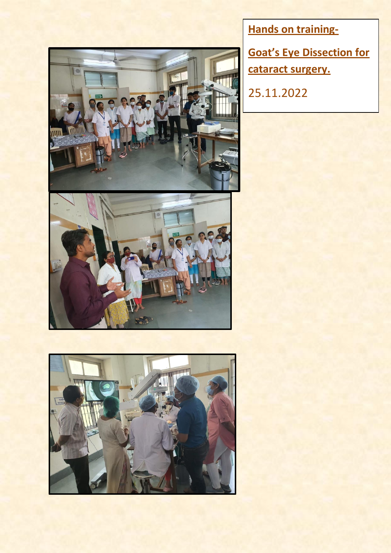



**Hands on training-**

**Goat's Eye Dissection for cataract surgery.**

25.11.2022